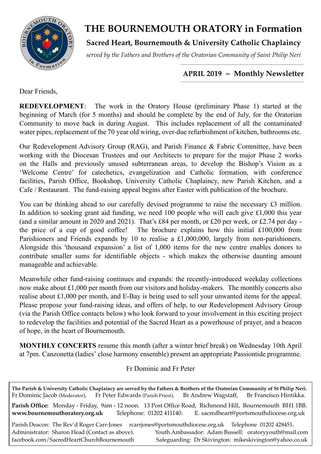

# **THE BOURNEMOUTH ORATORY in Formation**

**Sacred Heart, Bournemouth & University Catholic Chaplaincy**

*served by the Fathers and Brothers of the Oratorian Community of Saint Philip Neri*

#### *\_\_\_\_\_\_\_\_\_\_\_\_\_\_\_\_\_\_\_\_\_\_\_\_\_\_\_\_\_\_\_\_\_\_\_\_\_\_\_\_\_\_\_\_\_\_\_\_\_\_\_\_\_\_\_\_\_\_\_\_\_\_\_\_\_\_\_\_\_\_\_\_\_\_\_\_*  **APRIL 2019 ~ Monthly Newsletter**

Dear Friends,

**REDEVELOPMENT**: The work in the Oratory House (preliminary Phase 1) started at the beginning of March (for 5 months) and should be complete by the end of July, for the Oratorian Community to move back in during August. This includes replacement of all the contaminated water pipes, replacement of the 70 year old wiring, over-due refurbishment of kitchen, bathrooms etc.

Our Redevelopment Advisory Group (RAG), and Parish Finance & Fabric Committee, have been working with the Diocesan Trustees and our Architects to prepare for the major Phase 2 works on the Halls and previously unused subterranean areas, to develop the Bishop's Vision as a 'Welcome Centre' for catechetics, evangelization and Catholic formation, with conference facilities, Parish Office, Bookshop, University Catholic Chaplaincy, new Parish Kitchen, and a Cafe / Restaurant. The fund-raising appeal begins after Easter with publication of the brochure.

You can be thinking ahead to our carefully devised programme to raise the necessary £3 million. In addition to seeking grant aid funding, we need 100 people who will each give £1,000 this year (and a similar amount in 2020 and 2021). That's £84 per month, or £20 per week, or £2.74 per day the price of a cup of good coffee! The brochure explains how this initial £100,000 from Parishioners and Friends expands by 10 to realise a £1,000,000, largely from non-parishioners. Alongside this 'thousand expansion' a list of 1,000 items for the new centre enables donors to contribute smaller sums for identifiable objects - which makes the otherwise daunting amount manageable and achievable.

Meanwhile other fund-raising continues and expands: the recently-introduced weekday collections now make about £1,000 per month from our visitors and holiday-makers. The monthly concerts also realise about £1,000 per month, and E-Bay is being used to sell your unwanted items for the appeal. Please propose your fund-raising ideas, and offers of help, to our Redevelopment Advisory Group (via the Parish Office contacts below) who look forward to your involvement in this exciting project to redevelop the facilities and potential of the Sacred Heart as a powerhouse of prayer, and a beacon of hope, in the heart of Bournemouth.

**MONTHLY CONCERTS** resume this month (after a winter brief break) on Wednesday 10th April at 7pm. Canzonetta (ladies' close harmony ensemble) present an appropriate Passiontide programme.

## Fr Dominic and Fr Peter

**The Parish & University Catholic Chaplaincy are served by the Fathers & Brothers of the Oratorian Community of St Philip Neri.** Fr Dominic Jacob (Moderator), Fr Peter Edwards (Parish Priest), Br Andrew Wagstaff, Br Francisco Hintikka. **Parish Office:** Monday - Friday, 9am - 12 noon. 13 Post Office Road, Richmond Hill, Bournemouth BH1 1BB. **[www.bournemouthoratory.org.uk](http://www.bournemoithoratory.org.uk)** Telephone: 01202 411140. E. [sacredheart@portsmouthdiocese.org.uk](mailto:sacredheart@portsmouthdiocese.org.uk) Parish Deacon: The Rev'd Roger Carr-Jones [rcarrjones@portsmouthdiocese.org.uk](mailto:rcarrjones@portsmouthdiocese.org.uk) Telephone 01202 428451. Administrator: Sharon Head (Contact as above). Youth Ambassador: Adam Bussell: [oratoryyouth@mail.com](http://oratoryyouth.mail.com) [facebook.com/SacredHeartChurchBournemouth](http://facebook.com/SaccredHeartChurchBournemouth) Safeguarding: Dr Skivington: mikeskivington@yahoo.co.uk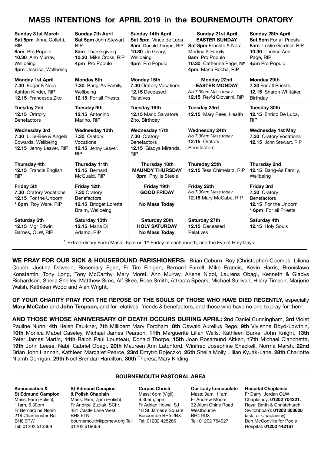## **MASS INTENTIONS for APRIL 2019 in the BOURNEMOUTH ORATORY**

| <b>Sunday 31st March</b><br>Sat 5pm Anna Colletti,<br><b>RIP</b><br>8am Pro Populo<br>10.30 Ann Murray,<br>Wellbeing<br>4pm Jessica, Wellbeing | <b>Sunday 7th April</b><br>Sat 5pm John Stewart,<br><b>RIP</b><br>8am Thanksgiving<br>10.30 Mike Cross, RIP<br>4pm Pro Populo | <b>Sunday 14th April</b><br>Sat 5pm Vince de Luca<br>8am Donald Thorpe, RIP<br><b>10.30</b> Jo Geary,<br>Wellbeing<br>4pm Pro Populo | <b>Sunday 21st April</b><br><b>EASTER SUNDAY</b><br><b>Sat 8pm</b> Ernesto & Nora<br>Modina & Family<br>8am Pro Populo<br>10.30 Catherine Page, RIP<br>4pm Maria Rocha, RIP | <b>Sunday 28th April</b><br>Sat 5pm For all Priests<br>8am Leslie Gardner, RIP<br>10.30 Thelma Ann<br>Page, RIP<br>4pm Pro Populo |
|------------------------------------------------------------------------------------------------------------------------------------------------|-------------------------------------------------------------------------------------------------------------------------------|--------------------------------------------------------------------------------------------------------------------------------------|-----------------------------------------------------------------------------------------------------------------------------------------------------------------------------|-----------------------------------------------------------------------------------------------------------------------------------|
| <b>Monday 1st April</b><br>7.30 Edgar & Nora<br>Ashton Kinder, RIP<br>12.15 Francesca Zito                                                     | <b>Monday 8th</b><br>7.30 Bang-As Family,<br>Wellbeing<br>12.15 For all Priests                                               | Monday 15th<br>7.30 Oratory Vocations<br>12.15 Deceased<br>Relatives                                                                 | Monday 22nd<br><b>EASTER MONDAY</b><br>No 7.30am Mass today<br>12.15 Rev'd Giovanni, RIP                                                                                    | Monday 29th<br>7.30 For all Priests<br>12.15 Sharon Whitaker.<br>Birthday                                                         |
| <b>Tuesday 2nd</b><br>12.15 Oratory<br><b>Benefactors</b>                                                                                      | <b>Tuesday 9th</b><br>12.15 Antonino<br>Marino, RIP                                                                           | Tuesday 16th<br>12.15 Mario Salvatore<br>Zito, Birthday                                                                              | <b>Tuesday 23rd</b><br>12.15 Mary Rees, Health                                                                                                                              | <b>Tuesday 30th</b><br>12.15 Enrico De Luca,<br><b>RIP</b>                                                                        |
| <b>Wednesday 3rd</b><br>7.30 Lillie-Bee & Angela<br>Edwards, Wellbeing<br>12.15 Jenny Leaver, RIP                                              | <b>Wednesday 10th</b><br>7.30 Oratory<br>Vocations<br>12.15 Jenny Leaver,<br><b>RIP</b>                                       | <b>Wednesday 17th</b><br>7.30 Oratory<br><b>Benefactors</b><br>12.15 Gladys Miranda,<br><b>RIP</b>                                   | <b>Wednesday 24th</b><br>No 7.30am Mass today<br>12.15 Oratory<br><b>Benefactors</b>                                                                                        | <b>Wednesday 1st May</b><br>7.30 Oratory Vocations<br>12.15 John Stewart, RIP                                                     |
| Thursday 4th<br>12.15 Francis English,<br><b>RIP</b>                                                                                           | Thursday 11th<br>12.15 Bernard<br>McQuaid, RIP                                                                                | Thursday 18th<br><b>MAUNDY THURSDAY</b><br>8pm Phyllis Steele                                                                        | Thursday 25th<br>12.15 Tess Chimelarz, RIP                                                                                                                                  | <b>Thursday 2nd</b><br>12.15 Bang-As Family,<br>Wellbeing                                                                         |
| <b>Friday 5th</b><br>7.30 Oratory Vocations<br>12.15 For the Unborn<br>* 6pm Roy Ware, RIP                                                     | Friday 12th<br>7.30 Oratory<br><b>Benefactors</b><br>12.15 Bridget Loretta<br>Braim, Wellbeing                                | Friday 19th<br><b>GOOD FRIDAY</b><br><b>No Mass Today</b>                                                                            | Friday 26th<br>No 7.30am Mass today<br>12.15 Mary McCabe, RIP                                                                                                               | <b>Friday 3rd</b><br>7.30 Oratory<br><b>Benefactors</b><br>12.15 For the Unborn<br>* 6pm For all Priests                          |
| Saturday 6th<br>12.15 Mgr Edwin<br>Barnes, OLW, RIP                                                                                            | Saturday 13th<br><b>12.15 Maria Di</b><br>Adamo, RIP                                                                          | Saturday 20th<br><b>HOLY SATURDAY</b><br><b>No Mass Today</b>                                                                        | Saturday 27th<br>12.15 Deceased<br>Relatives                                                                                                                                | Saturday 4th<br>12.15 Holy Souls                                                                                                  |

\* Extraordinary Form Mass: 6pm on 1st Friday of each month, and the Eve of Holy Days.

**WE PRAY FOR OUR SICK & HOUSEBOUND PARISHIONERS:** Brian Coburn, Roy (Christopher) Coombs, Liliana Couch, Justina Dawson, Rosemary Egan, Fr Tim Finigan, Bernard Farrell, Mike Francis, Kevin Harris, Bronislawa Konstantin, Tony Long, Tony McCarthy, Mary Moret, Ann Murray, Arlene Nicol, Laurens Obagi, Kenneth & Gladys Richardson, Sheila Shelley, Matthew Sims, Alf Skee, Rose Smith, Attracta Spears, Michael Sullivan, Hilary Timson, Marjorie Walsh, Kathleen Wood and Alan Wright.

**OF YOUR CHARITY PRAY FOR THE REPOSE OF THE SOULS OF THOSE WHO HAVE DIED RECENTLY,** especially **Mary McCabe** and **John Timpson,** and for relatives, friends & benefactors, and those who have no one to pray for them.

**AND THOSE WHOSE ANNIVERSARY OF DEATH OCCURS DURING APRIL: 2nd** Daniel Cunningham, **3rd** Violet Pauline Nunn, **4th** Helen Faulkner, **7th** Millicent Mary Fordham, **8th** Oswald Aurelius Rego, **9th** Vivienne Boyd-Lowthin, **10th** Monica Mabel Caseley, Michael James Pearson, **11th** Marguerite Lilian Wells, Kathleen Burke, John Knight, **13th** Peter James Martin, **14th** Ralph Paul Lousteau, Donald Thorpe, **15th** Joan Rosamund Aitken, **17th** Michael Cianchetta, **19th** John Leese, Nabil Gabriel Obagi, **20th** Maureen Ann Latchford, Winifred Josephine Shackell, Norma Marsh, **22nd**  Brian John Hannan, Kathleen Margaret Pearce, **23rd** Dmytro Bojeczko, **26th** Sheila Molly Lillian KyJak-Lane, **28th** Charlotte Niamh Corrigan, **29th** Noel Brendan Hamilton, **30th** Theresa Mary Kilding.

#### **BOURNEMOUTH PASTORAL AREA**

**Annunciation & St Edmund Campion**  Mass: 9am (Polish), 11am, 6.30pm Fr Bernardine Nsom 218 Charminster Rd BH8 9RW Tel: 01202 513369

**St Edmund Campion & Polish Chaplain** Mass: 9am, 7pm (Polish) Fr Andrzej Zuziak, SChr. 481 Castle Lane West BH8 9TN [bournemouth@pcmew.org](mailto:bournemouth@pcmew.org) Tel: Tel: 01202 425286 01202 619668

**Corpus Christi**  Mass: 6pm (Vigil), 9.30am, 5pm Fr Adrian Howell SJ 18 St James's Square Boscombe BH5 2BX

**Our Lady Immaculate**  Mass: 9am, 11am Fr Andrew Moore 32 Alum Chine Road Westbourne BH4 9DX Tel: 01202 764027

**Hospital Chaplains:**  Fr Darryl Jordan OLW Chaplaincy: **01202 704221.** Royal Bmth & Christchurch Switchboard: **01202 303626** (ask for Chaplaincy). Dcn McConville for Poole Hospital: **01202 442167**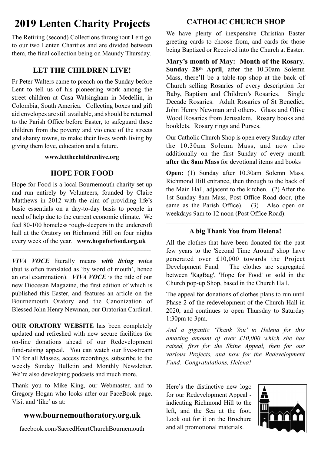# **2019 Lenten Charity Projects**

The Retiring (second) Collections throughout Lent go to our two Lenten Charities and are divided between them, the final collection being on Maundy Thursday.

## **LET THE CHILDREN LIVE!**

Fr Peter Walters came to preach on the Sunday before Lent to tell us of his pioneering work among the street children at Casa Walsingham in Medellin, in Colombia, South America. Collecting boxes and gift aid envelopes are still available, and should be returned to the Parish Office before Easter, to safeguard these children from the poverty and violence of the streets and shanty towns, to make their lives worth living by giving them love, education and a future.

#### **www.letthechildrenlive.org**

## **HOPE FOR FOOD**

Hope for Food is a local Bournemouth charity set up and run entirely by Volunteers, founded by Claire Matthews in 2012 with the aim of providing life's basic essentials on a day-to-day basis to people in need of help due to the current economic climate. We feel 80-100 homeless rough-sleepers in the undercroft hall at the Oratory on Richmond Hill on four nights every week of the year. **[www.hopeforfood.org.uk](http://www.hopeforfood.org.uk)**

*VIVA VOCE* literally means *with living voice* (but is often translated as 'by word of mouth', hence an oral examination). *VIVA VOCE* is the title of our new Diocesan Magazine, the first edition of which is published this Easter, and features an article on the Bournemouth Oratory and the Canonization of Blessed John Henry Newman, our Oratorian Cardinal.

**OUR ORATORY WEBSITE** has been completely updated and refreshed with new secure facilities for on-line donations ahead of our Redevelopment fund-raising appeal. You can watch our live-stream TV for all Masses, access recordings, subscribe to the weekly Sunday Bulletin and Monthly Newsletter. We're also developing podcasts and much more.

Thank you to Mike King, our Webmaster, and to Gregory Hogan who looks after our FaceBook page. Visit and 'like' us at:

# **[www.bournemouthoratory.org.uk](http://www.bournemouthoratory.org.uk)**

facebook.com/SacredHeartChurchBournemouth

# **CATHOLIC CHURCH SHOP**

We have plenty of inexpensive Christian Easter greeting cards to choose from, and cards for those being Baptized or Received into the Church at Easter.

**Mary's month of May: Month of the Rosary. Sunday 28th April**, after the 10.30am Solemn Mass, there'll be a table-top shop at the back of Church selling Rosaries of every description for Baby, Baptism and Children's Rosaries. Single Decade Rosaries. Adult Rosaries of St Benedict, John Henry Newman and others. Glass and Olive Wood Rosaries from Jerusalem. Rosary books and booklets. Rosary rings and Purses.

Our Catholic Church Shop is open every Sunday after the 10.30am Solemn Mass, and now also additionally on the first Sunday of every month **after the 8am Mass** for devotional items and books

**Open:** (1) Sunday after 10.30am Solemn Mass, Richmond Hill entrance, then through to the back of the Main Hall, adjacent to the kitchen. (2) After the 1st Sunday 8am Mass, Post Office Road door, (the same as the Parish Office). (3) Also open on weekdays 9am to 12 noon (Post Office Road).

#### **A big Thank You from Helena!**

All the clothes that have been donated for the past few years to the 'Second Time Around' shop have generated over £10,000 towards the Project Development Fund. The clothes are segregated between 'RagBag', 'Hope for Food' or sold in the Church pop-up Shop, based in the Church Hall.

The appeal for donations of clothes plans to run until Phase 2 of the redevelopment of the Church Hall in 2020, and continues to open Thursday to Saturday 1:30pm to 3pm.

*And a gigantic 'Thank You' to Helena for this amazing amount of over £10,000 which she has raised, first for the Shine Appeal, then for our various Projects, and now for the Redevelopment Fund. Congratulations, Helena!* 

Here's the distinctive new logo for our Redevelopment Appeal indicating Richmond Hill to the left, and the Sea at the foot. Look out for it on the Brochure and all promotional materials.